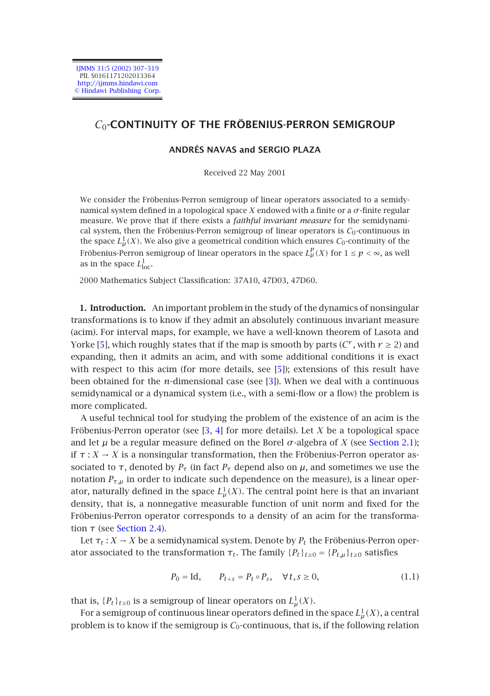IJMMS 31:5 (2002) 307–319 PII. S0161171202013364 http://ijmms.hindawi.com © Hindawi Publishing Corp.

## *C*0**-CONTINUITY OF THE FRÖBENIUS-PERRON SEMIGROUP**

## **ANDRÉS NAVAS and SERGIO PLAZA**

Received 22 May 2001

We consider the Fröbenius-Perron semigroup of linear operators associated to a semidynamical system defined in a topological space *X* endowed with a finite or a *σ*-finite regular measure. We prove that if there exists a *faithful invariant measure* for the semidynamical system, then the Fröbenius-Perron semigroup of linear operators is  $C_0$ -continuous in the space  $L^1_\mu(X)$ . We also give a geometrical condition which ensures  $\mathcal{C}_0$ -continuity of the Fröbenius-Perron semigroup of linear operators in the space  $L^p_\mu(X)$  for  $1 \le p < \infty$ , as well as in [th](#page-11-0)e space  $L^1_{\text{loc}}$ .

2000 Mathematics Subject Classification: 37A10, 47[D03](#page-11-0), 47D60.

**1. Introduction.** An important problem in the study of the dynamics of nonsingular transformations is to know if they admit an absolutely continuous invariant measure (acim). For interval maps, for example, we have a well-known theorem of Lasota and Yorke [5], which roughly states t[ha](#page-11-1)[t if](#page-11-2) the map is smooth by parts ( $C^r$ , with  $r \geq 2$ ) and expanding, then it admits an acim, and with some additional conditio[ns it is exac](#page-2-0)t with respect to this acim (for more details, see [5]); extensions of this result have been obtained for the  $n$ -dimensional case (see [3]). When we deal with a continuous semidynamical or a dynamical system (i.e., with a semi-flow or a flow) the problem is more complicated.

A useful technical tool for studying the problem of the existence of an acim is the Fröbenius-Perron operator (see [3, 4] for more details). Let *X* be a topological space and let  $\mu$  b[e a regular](#page-3-0) measure defined on the Borel  $\sigma$ -algebra of *X* (see Section 2.1); if  $\tau : X \to X$  is a nonsingular transformation, then the Fröbenius-Perron operator associated to *τ*, denoted by  $P<sub>\tau</sub>$  (in fact  $P<sub>\tau</sub>$  depend also on  $\mu$ , and sometimes we use the notation  $P_{\tau,\mu}$  in order to indicate such dependence on the measure), is a linear operator, naturally defined in the space  $L^1_\mu(X).$  The central point here is that an invariant density, that is, a nonnegative measurable function of unit norm and fixed for the Fröbenius-Perron operator corresponds to a density of an acim for the transformation *τ* (see Section 2.4).

Let  $\tau_t$ :  $X \to X$  be a semidynamical system. Denote by  $P_t$  the Fröbenius-Perron operator associated to the transformation  $\tau_t$ . The family  $\{P_t\}_{t\geq0} = \{P_{t,\mu}\}_{t\geq0}$  satisfies

$$
P_0 = \text{Id}, \qquad P_{t+s} = P_t \circ P_s, \quad \forall \, t, s \ge 0,\tag{1.1}
$$

that is,  ${P_t}_{t\geq0}$  is a semigroup of linear operators on  $L^1_\mu(X)$ .

For a semigroup of continuous linear operators defined in the space  $L^1_\mu(X)$ , a central problem is to know if the semigroup is  $C_0$ -continuous, that is, if the following relation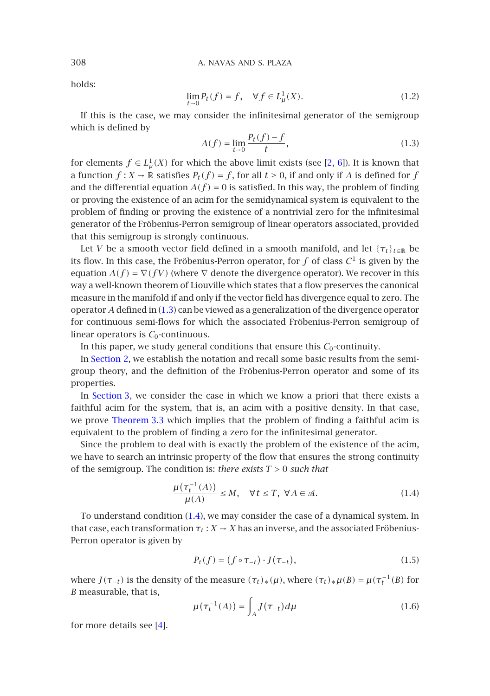holds:

$$
\lim_{t \to 0} P_t(f) = f, \quad \forall f \in L^1_\mu(X). \tag{1.2}
$$

If this is the case, we may consider the infinitesimal generator of the semigroup which is defined by

$$
A(f) = \lim_{t \to 0} \frac{P_t(f) - f}{t},
$$
\n(1.3)

for elements  $f \in L^1_\mu(X)$  for which the above limit exists (see [2, 6]). It is known that a function  $f: X \to \mathbb{R}$  satisfies  $P_t(f) = f$ , for all  $t \ge 0$ , if and only if *A* is defined for *f* and the differential equation  $A(f) = 0$  is satisfied. In this way, the problem of finding or proving the existence of an acim for the semidynamical system is equivalent to the problem of finding or proving the existence of a nontrivial zero for the infinitesimal generator of the Fröb[enius](#page-1-0)-Perron semigroup of linear operators associated, provided that this semigroup is strongly continuous.

Let *V* be a smooth vector field defined in a smooth manifold, and let  ${\tau_t}_{t \in \mathbb{R}}$  be its flow. In this case, the Fröbenius-Perron operator, for  $f$  of class  $C^1$  is given by the equation  $A(f) = \nabla(fV)$  (where  $\nabla$  denote the divergence operator). We recover in this way a well-known theorem of Liouville which states that a flow preserves the canonical measure in the manifold if and only if the vector field has divergence equal to zero. The oper[ator](#page-4-0) *A* defined in (1.3) can be viewed as a generalization of the divergence operator for continuous semi-flows for which the associated Fröbenius-Perron semigroup of linear op[erators is](#page-5-0)  $C_0$ -continuous.

In this paper, we study general conditions that ensure this  $C_0$ -continuity.

In Section 2, we establish the notation and recall some basic results from the semigroup theory, and the definition of the Fröbenius-Perron operator and some of its properties.

In Section 3, we consider the case in which we know a priori that there exists a faithful acim for the system, that is, an acim with a positive density. In that case, we prove Theorem 3.3 which implies that the problem of finding a faithful acim is equivalent to the problem o[f fin](#page-1-1)ding a zero for the infinitesimal generator.

<span id="page-1-2"></span>Since the problem to deal with is exactly the problem of the existence of the acim, we have to search an intrinsic property of the flow that ensures the strong continuity of the semigroup. The condition is: *there exists T >* 0 *such that*

<span id="page-1-1"></span>
$$
\frac{\mu(\tau_t^{-1}(A))}{\mu(A)} \le M, \quad \forall t \le T, \ \forall A \in \mathcal{A}.
$$
\n(1.4)

To understand condition (1.4), we may consider the case of a dynamical system. In that case, each transformation  $\tau_t : X \to X$  has an inverse, and the associated Fröbenius-Perron operator is gi[ve](#page-11-2)n by

$$
P_t(f) = (f \circ \tau_{-t}) \cdot J(\tau_{-t}), \qquad (1.5)
$$

where  $J(\tau_{-t})$  is the density of the measure  $(\tau_t)_*(\mu)$ , where  $(\tau_t)_*\mu(B) = \mu(\tau_t^{-1}(B))$  for *B* measurable, that is,

$$
\mu(\tau_t^{-1}(A)) = \int_A J(\tau_{-t}) d\mu \tag{1.6}
$$

for more details see [4].

<span id="page-1-0"></span>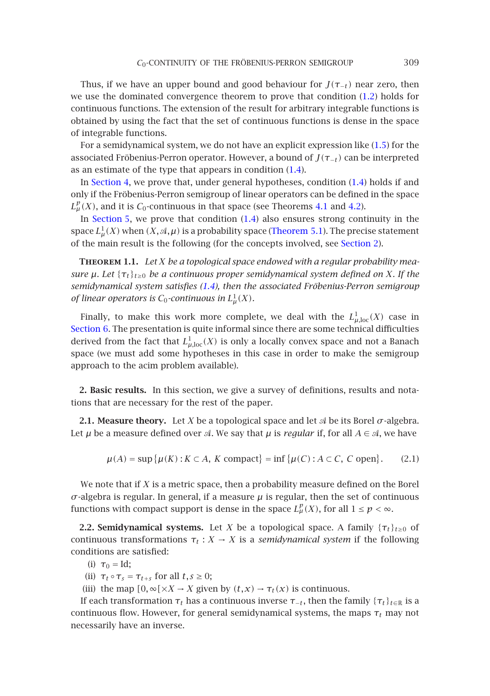Thus, if we have an upper bound and good beha[viou](#page-1-1)r for  $J(\tau_{-t})$  near zero, then we [use the dom](#page-6-0)inated convergence theorem to prove that conditio[n \(1](#page-1-1).2) holds for continuous functions. The extension of the result for arbitrary integrable functions is obtained by using the fact that the set of continuous funct[ions](#page-6-1) is [dens](#page-7-0)e in the space of in[tegrable fu](#page-8-0)nctions.

For a semidynamical system, we do not have a[n explicit expr](#page-8-1)ession like (1.5) for the associated Fröbenius-Perron operator. However, a bound of *J(τ*−*t)* [can be in](#page-2-1)terpreted as an estimate of the type that appears in condition (1.4).

In Section 4, we prove that, under general hypotheses, condition (1.4) holds if and only if the Fröbenius-Perron semigroup of linear operators can be defined in the space  $L^p_\mu(X)$ , a[n](#page-1-1)d it is  $C_0$ -continuous in [th](#page-1-1)at space (see Theorems 4.1 and 4.2).

In Section 5, we prove that condition  $(1.4)$  also ensures strong continuity in the space  $L^1_\mu(X)$  when  $(X, \mathcal A, \mu)$  is a probability space (Theorem 5.1). The precise statement [of the ma](#page-11-3)in result is the following (for the concepts involved, see Section 2).

**Theorem 1.1.** *Let X be a topological space endowed with a regular probability measure*  $\mu$ *. Let* { $\tau_t$ }<sub>*t*≥0</sub> *be a continuous proper semidynamical system defined on X. If the semidynamical system satisfies (1.4), then the associated Fröbenius-Perron semigroup of linear operators is*  $C_0$ -continuous in  $L^1_\mu(X)$ *.* 

<span id="page-2-1"></span><span id="page-2-0"></span>Finally, to make this work more complete, we deal with the  $L^1_{\mu,\mathrm{loc}}(X)$  case in Section 6. The presentation is quite informal since there are some technical difficulties derived from the fact that  $L^1_{\mu,\text{loc}}(X)$  is only a locally convex space and not a Banach space (we must add some hypotheses in this case in order to make the semigroup approach to the acim problem available).

**2. Basic results.** In this section, we give a survey of definitions, results and notations that are necessary for the rest of the paper.

**2.1. Measure theory.** Let *X* be a topological space and let  $\mathcal{A}$  be its Borel  $\sigma$ -algebra. Let  $\mu$  be a measure defined over  $\mathcal A$ . We say that  $\mu$  is *regular* if, for all  $A \in \mathcal A$ , we have

> $\mu(A) = \sup \{ \mu(K) : K \subset A, K \text{ compact} \} = \inf \{ \mu(C) : A \subset C, C \text{ open} \}$ *.* (2.1)

We note that if *X* is a metric space, then a probability measure defined on the Borel *σ*-algebra is regular. In general, if a measure *µ* is regular, then the set of continuous functions with compact support is dense in the space  $L^p_\mu(X)$ , for all  $1 \leq p < \infty$ .

**2.2. Semidynamical systems.** Let *X* be a topological space. A family  $\{\tau_t\}_{t\geq0}$  of continuous transformations  $\tau_t : X \to X$  is a *semidynamical system* if the following conditions are satisfied:

- (i)  $\tau_0 = Id;$
- (ii)  $\tau_t \circ \tau_s = \tau_{t+s}$  for all  $t, s \geq 0$ ;
- (iii) the map  $[0, \infty[\times X \to X]$  given by  $(t, x) \to \tau_t(x)$  is continuous.

If each transformation  $τ_t$  has a continuous inverse  $τ_{-t}$ , then the family  ${τ_t}_{t \in \mathbb{R}}$  is a continuous flow. However, for general semidynamical systems, the maps  $\tau_t$  may not necessarily have an inverse.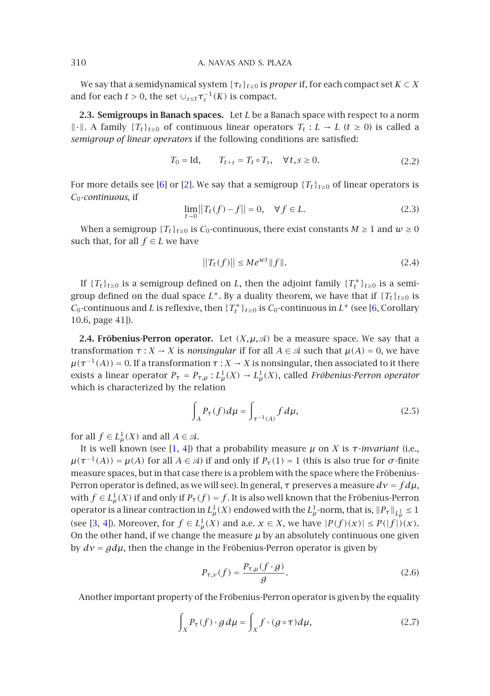We say that a semidynamical system  $\{\tau_t\}_{t\geq0}$  is *proper* if, for each compact set  $K \subset X$ and for [e](#page-12-0)ach  $t > 0$ , the [s](#page-11-4)et  $\cup_{s \leq t} \tau_s^{-1}(K)$  is compact.

**2.3. Semigroups in Banach spaces.** Let *L* be a Banach space with respect to a norm  $\|\cdot\|$ . A family {*T<sub>t</sub>*}*t*≥0 of continuous linear operators *T<sub>t</sub>* : *L* → *L* (*t* ≥ 0) is called a *semigroup of linear operators* if the following conditions are satisfied:

$$
T_0 = \text{Id}, \qquad T_{t+s} = T_t \circ T_s, \quad \forall \, t, s \ge 0. \tag{2.2}
$$

For more details see [6] or [2]. We say that a semigroup  $\{T_t\}_{t>0}$  of linear operators is *C*0*-continuous*, if

$$
\lim_{t \to 0} ||T_t(f) - f|| = 0, \quad \forall f \in L.
$$
\n(2.3)

<span id="page-3-0"></span>When [a](#page-12-0) semigroup  $\{T_t\}_{t\geq0}$  is  $C_0$ -continuous, there exist constants  $M\geq1$  $M\geq1$  and  $w\geq0$ such that, for all  $f \in L$  we have

$$
||T_t(f)|| \le Me^{wt}||f||. \tag{2.4}
$$

If  ${T_t}_{t\ge0}$  is a semigroup defined on *L*, then the adjoint family  ${T_t^*}_{t\ge0}$  is a semigroup defined on the dual space  $L^*$ . By a duality theorem, we have that if  ${T_t}_{t\geq0}$  is *C*<sub>0</sub>-continuous and *L* is reflexive, then  $\{T_t^*\}_{t\geq0}$  is *C*<sub>0</sub>-continuous in  $L^*$  (see [6, Corollary 10.6, page 41]).

**2.4. Fröbenius-Perron operator.** Let  $(X, \mu, \mathcal{A})$  be a measure space. We say that a transformation *τ* : *X* → *X* is *nonsingular* if for all  $A \in \mathcal{A}$  such that  $\mu(A) = 0$ , we have  $\mu(\tau^{-1}(A)) = 0$ . If a trans[fo](#page-11-5)[rm](#page-11-2)ation  $\tau : X \to X$  is nonsingular, then associated to it there exists a linear operator  $P_{\tau} = P_{\tau,\mu} : L^1_{\mu}(X) \to L^1_{\mu}(X)$ , called *Fröbenius-Perron operator* which is characterized by the relation

<span id="page-3-2"></span>
$$
\int_{A} P_{\tau}(f) d\mu = \int_{\tau^{-1}(A)} f d\mu,
$$
\n(2.5)

for a[ll](#page-11-1)  $f \in L^1_\mu(X)$  and all  $A \in \mathcal{A}$ .

<span id="page-3-1"></span>It is well known (see [1, 4]) that a probability measure *µ* on *X* is *τ*-*invariant* (i.e.,  $\mu(\tau^{-1}(A)) = \mu(A)$  for all  $A \in \mathcal{A}$ ) if and only if  $P_{\tau}(1) = 1$  (this is also true for *σ*-finite measure spaces, but in that case there is a problem with the space where the Fröbenius-Perron operator is defined, as we will see). In general, *τ* preserves a measure *dν* = *f dµ*, with  $f \in L^1_\mu(X)$  if and only if  $P_\tau(f) = f$ . It is also well known that the Fröbenius-Perron operator is a linear contraction in  $L^1_\mu(X)$  endowed with the  $L^1_\mu$ -norm, that is,  $\|P_\tau\|_{L^1_\mu} \leq 1$ (see [3, 4]). Moreover, for  $f \in L^1_\mu(X)$  and a.e.  $x \in X$ , we have  $|P(f)(x)| \leq P(|f|)(x)$ . On the other hand, if we change the measure  $\mu$  by an absolutely continuous one given by *dν* = *gdµ*, then the change in the Fröbenius-Perron operator is given by

$$
P_{\tau,\nu}(f) = \frac{P_{\tau,\mu}(f \cdot g)}{g}.
$$
\n(2.6)

Another important property of the Fröbenius-Perron operator is given by the equality

$$
\int_{X} P_{\tau}(f) \cdot g \, d\mu = \int_{X} f \cdot (g \circ \tau) \, d\mu,\tag{2.7}
$$

<span id="page-3-3"></span>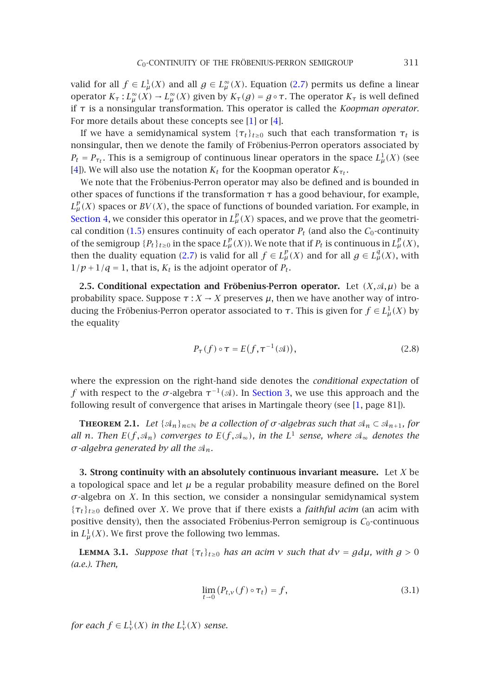[va](#page-11-2)lid for all  $f \in L^1_\mu(X)$  and all  $g \in L^\infty_\mu(X)$ . Equation (2.7) permits us define a linear operator *K<sub>τ</sub>* : *L*<sub> $\mu$ </sub><sup>α</sup>(*X*) → *L*<sub> $\mu$ </sub><sup>α</sup>(*X*) given by *K<sub>τ</sub>*(*g*) = *g* ∘ *τ*. The operator *K<sub>τ</sub>* is well defined if *τ* is a nonsingular transformation. This operator is called the *Koopman operator*. For more details about these concepts see [1] or [4].

[If we h](#page-6-0)ave a semidynamical system  $\{\tau_t\}_{t\geq0}$  such that each transformation  $\tau_t$  is nonsingular, t[hen](#page-1-2) we denote the family of Fröbenius-Perron operators associated by  $P_t = P_{\tau_t}$ . This is a semigroup of continuous linear operators in the space  $L^1_\mu(X)$  (see [4]). We will also use the n[otati](#page-3-1)on  $K_t$  for the Koopman operator  $K_{\tau_t}$ .

We note that the Fröbenius-Perron operator may also be defined and is bounded in other spaces of functions if the transformation  $\tau$  has a good behaviour, for example,  $L^p_\mu(X)$  spaces or  $BV(X)$ , the space of functions of bounded variation. For example, in Section 4, we consider this operator in  $L^p_\mu(X)$  spaces, and we prove that the geometrical condition (1.5) ensures continuity of each operator  $P_t$  (and also the  $C_0$ -continuity of the semigroup  ${P_t}_{t\ge0}$  in the space  $L^p_\mu(X)$ ). We note that if  $P_t$  is continuous in  $L^p_\mu(X)$ , then the duality equation (2.7) is valid for all  $f \in L^p_\mu(X)$  and for all  $g \in L^q_\mu(X)$ , with  $1/p+1/q=1$ , that is,  $K_t$  is the adjoint operator of  $P_t$ .

**2.5. Conditional expectation and Fröbenius-Perron operator.** Let  $(X, \mathcal{A}, \mu)$  be a probability space. Suppose  $\tau : X \to X$  preserves  $\mu$ , then we have another way of introducing the Fröbenius-Perron operator assoc[iated to](#page-4-0)  $\tau$ . This is given for  $f \in L^1_\mu(X)$  by the equality

$$
P_{\tau}(f) \circ \tau = E(f, \tau^{-1}(\mathcal{A})), \tag{2.8}
$$

<span id="page-4-0"></span>where the expression on the right-hand side denotes the *conditional expectation* of *f* with respect to the  $\sigma$ -algebra  $\tau^{-1}(\mathcal{A})$ . In Section 3, we use this approach and the following result of convergence that arises in Martingale theory (see [1, page 81]).

**THEOREM 2.1.** Let  $\{\mathcal{A}_n\}_{n\in\mathbb{N}}$  be a collection of  $\sigma$ -algebras such that  $\mathcal{A}_n \subset \mathcal{A}_{n+1}$ , for *all n. Then*  $E(f, A_n)$  *converges to*  $E(f, A_\infty)$ *, in the*  $L^1$  *sense, where*  $A_\infty$  *denotes the*  $σ$ *-algebra generated by all the*  $A_n$ *.* 

<span id="page-4-1"></span>**3. Strong continuity with an absolutely continuous invariant measure.** Let *X* be a topological space and let  $\mu$  be a regular probability measure defined on the Borel  $\sigma$ -algebra on *X*. In this section, we consider a nonsingular semidynamical system {*τt*}*t*≥<sup>0</sup> defined over *X*. We prove that if there exists a *faithful acim* (an acim with positive density), then the associated Fröbenius-Perron semigroup is  $C_0$ -continuous in  $L^1_\mu(X)$ . We first prove the following two lemmas.

**LEMMA** 3.1. *Suppose that*  $\{\tau_t\}_{t\geq0}$  *has an acim v such that*  $d\mathbf{v} = g d\mathbf{\mu}$ *, with*  $g > 0$ *(a.e.). Then,*

$$
\lim_{t \to 0} \left( P_{t,\nu}(f) \circ \tau_t \right) = f,\tag{3.1}
$$

*for each*  $f \in L^1_\nu(X)$  *in the*  $L^1_\nu(X)$  *sense.*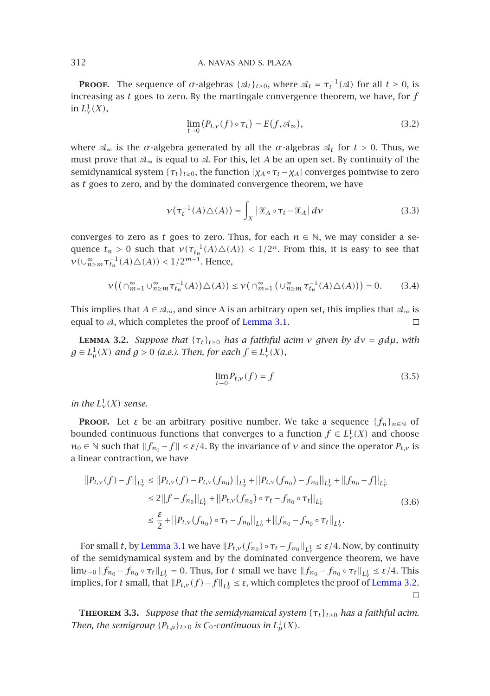**PROOF.** The sequence of  $\sigma$ -algebras { $\mathcal{A}_t$ }<sub>*t*≥0</sub>, where  $\mathcal{A}_t = \tau_t^{-1}(\mathcal{A})$  for all  $t \ge 0$ , is increasing as *t* goes to zero. By the martingale convergence theorem, we have, for *f* in  $L^1_\nu(X)$ ,

$$
\lim_{t \to 0} (P_{t,\nu}(f) \circ \tau_t) = E(f, \mathcal{A}_{\infty}), \tag{3.2}
$$

where  $\mathcal{A}_{\infty}$  is the  $\sigma$ -algebra generated by all the  $\sigma$ -algebras  $\mathcal{A}_t$  for  $t > 0$ . Thus, we must prove that  $\mathcal{A}_{\infty}$  is equal to  $\mathcal{A}$ . For this, let A be an open set. By continuity of the semidynamical system  $\{\tau_t\}_{t\geq0}$ , the function  $|\chi_A \circ \tau_t - \chi_A|$  converges pointwise to zero as *t* goes to zero, and by the dominated convergence theorem, we have

$$
\nu(\tau_t^{-1}(A)\triangle(A)) = \int_X |\mathcal{X}_A \circ \tau_t - \mathcal{X}_A| d\nu \tag{3.3}
$$

<span id="page-5-1"></span>converges to zero as *t* goes to zero. Th[us, for each](#page-4-1)  $n \in \mathbb{N}$ , we may consider a sequence  $t_n > 0$  such that  $\nu(\tau_{t_n}^{-1}(A) \triangle (A)) < 1/2^n$ . From this, it is easy to see that  $\nu(\cup_{n \ge m}^{\infty} \tau_{t_n}^{-1}(A) \triangle(A)) < 1/2^{m-1}$ . Hence,

$$
\nu\big(\big(\cap_{m=1}^{\infty}\cup_{n\geq m}^{\infty}\tau_{t_n}^{-1}(A)\big)\triangle(A)\big)\leq\nu\big(\cap_{m=1}^{\infty}\big(\cup_{n\geq m}^{\infty}\tau_{t_n}^{-1}(A)\triangle(A)\big)\big)=0.\qquad(3.4)
$$

This implies that *A* ∈  $\mathcal{A}_\infty$ , and since *A* is an arbitrary open set, this implies that  $\mathcal{A}_\infty$  is equal to  $A$ , which completes the proof of Lemma 3.1.

**LEMMA** 3.2. *Suppose that*  $\{\tau_t\}_{t>0}$  *has a faithful acim v given by*  $d\mathbf{v} = g d\mathbf{\mu}$ *, with*  $g \in L^1_\mu(X)$  and  $g > 0$  (a.e.). Then, for each  $f \in L^1_\nu(X)$ ,

$$
\lim_{t \to 0} P_{t,\nu}(f) = f \tag{3.5}
$$

*in the*  $L^1_\nu(X)$  *sense.* 

**PROOF.** Let *ε* be an arbitrary positive number. We take a sequence  $\{f_n\}_{n\in\mathbb{N}}$  of bounded continuous functions that converges to a function  $f \in L^1_\nu(X)$  and choose *n*<sup>0</sup> ∈  $\&$  such that  $||f_{n_0} - f|| \leq \varepsilon/4$ . By the invariance of *ν* and since the operator *P<sub>t,ν</sub>* is a linear contract[ion, we have](#page-4-1)

$$
||P_{t,\nu}(f) - f||_{L^1_{\nu}} \le ||P_{t,\nu}(f) - P_{t,\nu}(f_{n_0})||_{L^1_{\nu}} + ||P_{t,\nu}(f_{n_0}) - f_{n_0}||_{L^1_{\nu}} + ||f_{n_0} - f||_{L^1_{\nu}}
$$
  
\n
$$
\le 2||f - f_{n_0}||_{L^1_{\nu}} + ||P_{t,\nu}(f_{n_0}) \circ \tau_t - f_{n_0} \circ \tau_t||_{L^1_{\nu}}
$$
  
\n
$$
\le \frac{\varepsilon}{2} + ||P_{t,\nu}(f_{n_0}) \circ \tau_t - f_{n_0}||_{L^1_{\nu}} + ||f_{n_0} - f_{n_0} \circ \tau_t||_{L^1_{\nu}}.
$$
\n(3.6)

<span id="page-5-0"></span>For small *t*, by Lemma 3.1 we have  $||P_{t,\nu}(f_{n_0}) \circ \tau_t - f_{n_0}||_{L^1_\nu} \leq \varepsilon/4$ . Now, by continuity of the semidynamical system and by the dominated convergence theorem, we have  $\lim_{t\to 0} \|f_{n_0} - f_{n_0} \circ \tau_t\|_{L^1_v} = 0$ . Thus, for *t* small we have  $\|f_{n_0} - f_{n_0} \circ \tau_t\|_{L^1_v} \leq \varepsilon/4$ . This implies, for *t* small, that  $|P_{t,v}(f) - f||_{L^1_v} ≤ ε$ , which completes the proof of Lemma 3.2.

**THEOREM 3.3.** *Suppose that the semidynamical system*  $\{\tau_t\}_{t\geq0}$  *has a faithful acim. Then, the semigroup*  ${P_{t,\mu}}_{t\ge0}$  *is*  $C_0$ *-continuous in*  $L^1_\mu(X)$ *.*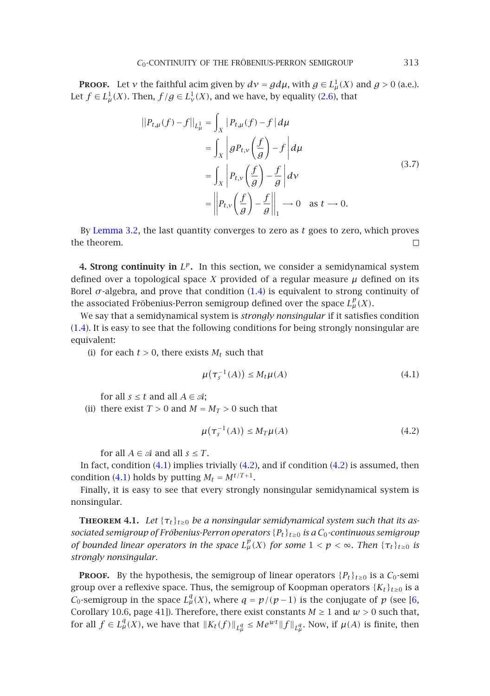**Proof.** Let *ν* the faithful acim given by  $d\nu = gd\mu$ , with  $g \in L^1_\mu(X)$  and  $g > 0$  (a.e.). Let  $f \in L^1_\mu(X)$ . Then,  $f/g \in L^1_\nu(X)$ , and we have, by equality (2.6), that

$$
||P_{t,\mu}(f) - f||_{L^1_{\mu}} = \int_X |P_{t,\mu}(f) - f| d\mu
$$
  
\n
$$
= \int_X \left| g P_{t,\nu} \left( \frac{f}{g} \right) - f \right| d\mu
$$
  
\n
$$
= \int_X \left| P_{t,\nu} \left( \frac{f}{g} \right) - \frac{f}{g} \right| d\nu
$$
  
\n
$$
= \left\| P_{t,\nu} \left( \frac{f}{g} \right) - \frac{f}{g} \right\|_1 \to 0 \quad \text{as } t \to 0.
$$
 (3.7)

<span id="page-6-0"></span>By Lemma 3.2, the last quantity converges to zero as *t* goes to zero, which proves [the](#page-1-1) theorem.  $\Box$ 

**4. Strong continuity in** *Lp***.** In this section, we consider a semidynamical system defined over a topological space  $X$  provided of a regular measure  $\mu$  defined on its Borel  $\sigma$ -algebra, and prove that condition  $(1.4)$  is equivalent to strong continuity of the associated Fröbenius-Perron semigroup defined over the space  $L^p_\mu(X)$ .

We say that a semidynamical system is *strongly nonsingular* if it satisfies condition (1.4). It is easy to see that the following conditions for being strongly nonsingular are equivalent:

(i) for each  $t > 0$ , there exists  $M_t$  such that

<span id="page-6-3"></span><span id="page-6-2"></span>
$$
\mu(\tau_s^{-1}(A)) \le M_t \mu(A) \tag{4.1}
$$

for [all](#page-6-3)  $s \leq t$  and all  $A \in \mathcal{A}$ ;

(ii) there exist  $T > 0$  and  $M = M_T > 0$  such that

$$
\mu(\tau_s^{-1}(A)) \le M_T \mu(A) \tag{4.2}
$$

for all  $A \in \mathcal{A}$  and all  $s \leq T$ .

<span id="page-6-1"></span>In fact, condition  $(4.1)$  implies trivially  $(4.2)$ , and if condition  $(4.2)$  is assumed, then condition (4.1) holds by putting  $M_t = M^{t/T+1}$ .

Finally, it is easy to see that every strongly nonsingular semidynamical system is nonsingular.

**THEOREM 4.1.** Let  $\{\tau_t\}_{t\geq0}$  be a nonsingular semidynamical system such that its [as](#page-12-0)*sociated semigroup of Fröbenius-Perron operators* {*Pt*}*t*≥<sup>0</sup> *is a C*0*-continuous semigroup of bounded linear operators in the space*  $L^p_\mu(X)$  *for some*  $1 < p < \infty$ *. Then*  $\{\tau_t\}_{t \geq 0}$  *is strongly nonsingular.*

**PROOF.** By the hypothesis, the semigroup of linear operators  ${P_t}_{t\ge0}$  is a  $C_0$ -semi group over a reflexive space. Thus, the semigroup of Koopman operators  $\{K_t\}_{t\geq0}$  is a *C*<sub>0</sub>-semigroup in the space  $L^q_\mu(X)$ , where  $q = p/(p-1)$  is the conjugate of *p* (see [6, Corollary 10.6, page 41]). Therefore, there exist constants  $M \ge 1$  and  $w > 0$  such that, for all  $f \in L^q_\mu(X)$ , we have that  $||K_t(f)||_{L^q_\mu} \leq Me^{wt}||f||_{L^q_\mu}$ . Now, if  $\mu(A)$  is finite, then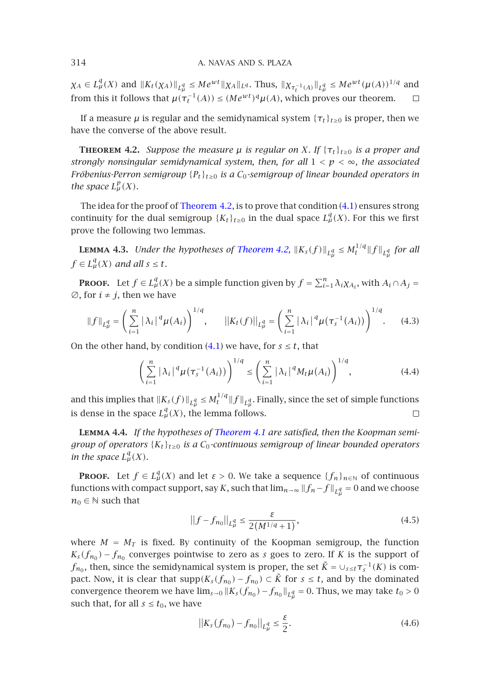$\chi_A \in L^q_\mu(X)$  and  $||K_t(\chi_A)||_{L^q_\mu} \le Me^{wt}||\chi_A||_{L^q}$ . Thus,  $||\chi_{\tau_t^{-1}(A)}||_{L^q_\mu} \le Me^{wt}(\mu(A))^{1/q}$  and from this it follows that  $\mu(\tau_t^{-1}(A)) \leq (Me^{wt})^q \mu(A)$ , which proves our theorem.  $\Box$ 

If a measure  $\mu$  is regula[r and the sem](#page-7-0)idynamical system  $\{\tau_t\}_{t>0}$  [is p](#page-6-3)roper, then we have the converse of the above result.

**THEOREM 4.2.** *Suppose the measure*  $\mu$  *is regular on X. If* { $\tau_t$ } $_{t\geq0}$  *is a proper and strongly nonsingular semidynamical sy[stem, then, fo](#page-7-0)r all*  $1 < p < \infty$ *, the associated Fröbenius-Perron semigroup* {*Pt*}*t*≥<sup>0</sup> *is a C*0*-semigroup of linear bounded operators in the space*  $L^p_\mu(X)$ *.* 

The idea for the proof of Theorem 4.2, is to prove that condition (4.1) ensures strong continuity for the dual semigroup  ${K_t}_{t\geq0}$  in the dual space  $L^q_\mu(X)$ . For this we first prove the following two lemmas.

**LEMMA 4.3.** Under the hypotheses of Theorem 4.2,  $||K_s(f)||_{L^q_\mu} \leq M_t^{1/q}||f||_{L^q_\mu}$  for all  $f \in L^q_\mu(X)$  and all  $s \leq t$ .

**Proof.** Let  $f \in L^q_\mu(X)$  be a simple function given by  $f = \sum_{i=1}^n \lambda_i \chi_{A_i}$ , with  $A_i \cap A_j =$  $\emptyset$ , for  $i \neq j$ , then we have

$$
||f||_{L^q_\mu} = \left(\sum_{i=1}^n |\lambda_i|^q \mu(A_i)\right)^{1/q}, \qquad ||K_t(f)||_{L^q_\mu} = \left(\sum_{i=1}^n |\lambda_i|^q \mu(\tau_s^{-1}(A_i))\right)^{1/q}.
$$
 (4.3)

On the other hand, by condition  $(4.1)$  we have, for  $s \le t$ , that

$$
\left(\sum_{i=1}^n |\lambda_i|^q \mu(\tau_s^{-1}(A_i))\right)^{1/q} \le \left(\sum_{i=1}^n |\lambda_i|^q M_t \mu(A_i)\right)^{1/q},\tag{4.4}
$$

and this implies that  $||K_s(f)||_{L^q_\mu} \leq M^{1/q}_t ||f||_{L^q_\mu}$ . Finally, since the set of simple functions is dense in the space  $L^q_\mu(X)$ , the lemma follows.  $\Box$ 

**Lemma 4.4.** *If the hypotheses of Theorem 4.1 are satisfied, then the Koopman semigroup of operators* {*Kt*}*t*≥<sup>0</sup> *is a C*0*-continuous semigroup of linear bounded operators in the space*  $L^q_\mu(X)$ *.* 

**PROOF.** Let  $f \in L^q_\mu(X)$  and let  $\varepsilon > 0$ . We take a sequence  $\{f_n\}_{n\in\mathbb{N}}$  of continuous functions with compact support, say *K*, such that  $\lim_{n\to\infty} \|f_n-f\|_{L^q_\mu}=0$  and we choose  $n_0 \in \mathbb{N}$  such that

$$
||f - f_{n_0}||_{L^q_\mu} \le \frac{\varepsilon}{2(M^{1/q} + 1)},\tag{4.5}
$$

where  $M = M_T$  is fixed. By continuity of the Koopman semigroup, the function  $K_s(f_{n_0}) - f_{n_0}$  converges pointwise to zero as *s* goes to zero. If *K* is the support of *f*<sub>n0</sub>, then, since the semidynamical system is proper, the set  $\tilde{K} = \cup_{s \leq t} \tau_s^{-1}(K)$  is compact. Now, it is clear that  $\text{supp}(K_s(f_{n_0}) - f_{n_0}) \subset \tilde{K}$  for  $s \leq t$ , and by the dominated convergence theorem we have  $\lim_{s\to 0} \|K_s(f_{n_0}) - f_{n_0}\|_{L^q_\mu} = 0$ . Thus, we may take  $t_0 > 0$ such that, for all  $s \le t_0$ , we have

$$
||K_{s}(f_{n_{0}}) - f_{n_{0}}||_{L_{\mu}^{q}} \leq \frac{\varepsilon}{2}.
$$
\n(4.6)

<span id="page-7-0"></span>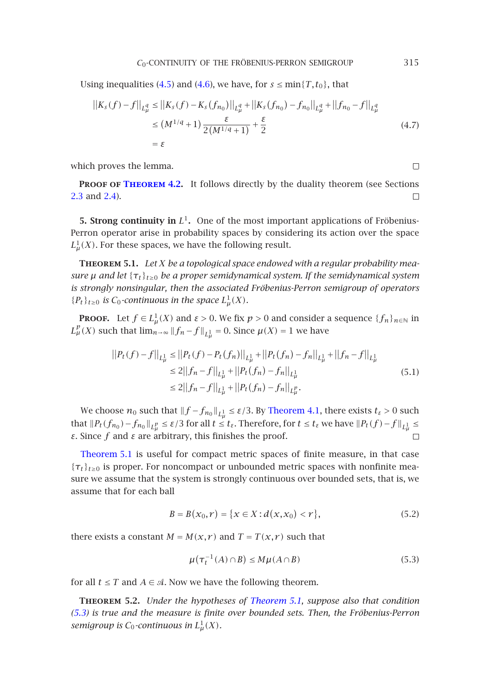Using inequalities (4.5) and (4.6), we have, for  $s \le \min\{T, t_0\}$ , that

$$
||K_{s}(f) - f||_{L_{\mu}^{q}} \le ||K_{s}(f) - K_{s}(f_{n_{0}})||_{L_{\mu}^{q}} + ||K_{s}(f_{n_{0}}) - f_{n_{0}}||_{L_{\mu}^{q}} + ||f_{n_{0}} - f||_{L_{\mu}^{q}}
$$
  
\n
$$
\le (M^{1/q} + 1) \frac{\varepsilon}{2(M^{1/q} + 1)} + \frac{\varepsilon}{2}
$$
  
\n
$$
= \varepsilon
$$
\n(4.7)

<span id="page-8-1"></span><span id="page-8-0"></span>which proves the lemma.

**PROOF OF THEOREM 4.2.** It follows directly by the duality theorem (see Sections 2.3 and 2.4).  $\Box$ 

**5. Strong continuity in**  $L^1$ . One of the most important applications of Fröbenius-Perron operator arise in probability spaces by considering its action over the space  $L^1_\mu(X)$ . For these spaces, we have the following result.

**Theorem 5.1.** *Let X be a topological space endowed with a regular probability measure*  $\mu$  *and let* { $\tau_t$ }<sub>*t*≥0</sub> *be a proper semidynamical system. If the semidynamical system is strongly nonsingular, then the associated Fröbenius-Perron semigroup of operators*  ${P_t}_{t\ge0}$  *is*  $C_0$ -continuous in the space  $L^1_\mu(X)$ *.* 

**Proof.** Let  $f \in L^1_\mu(X)$  and  $\varepsilon > 0$ . We fix  $p > 0$  and consider a sequence  $\{f_n\}_{n \in \mathbb{N}}$  in  $L^p_\mu(X)$  such that  $\lim_{n\to\infty}||f_n-f||_{L^1_\mu}=0$  $\lim_{n\to\infty}||f_n-f||_{L^1_\mu}=0$  $\lim_{n\to\infty}||f_n-f||_{L^1_\mu}=0$ . Since  $\mu(X)=1$  [we](#page-6-1) [hav](#page-6-1)e

$$
||P_t(f) - f||_{L^1_{\mu}} \le ||P_t(f) - P_t(f_n)||_{L^1_{\mu}} + ||P_t(f_n) - f_n||_{L^1_{\mu}} + ||f_n - f||_{L^1_{\mu}}
$$
  
\n
$$
\le 2||f_n - f||_{L^1_{\mu}} + ||P_t(f_n) - f_n||_{L^1_{\mu}}
$$
  
\n
$$
\le 2||f_n - f||_{L^1_{\mu}} + ||P_t(f_n) - f_n||_{L^p_{\mu}}.
$$
\n(5.1)

We choose  $n_0$  such that  $\|f - f_{n_0}\|_{L^1_\mu} \leq \varepsilon/3.$  By Theorem 4.1, there exists  $t_\varepsilon>0$  such that  $||P_t(f_{n_0}) - f_{n_0}||_{L^p_\mu} \leq \varepsilon/3$  for all  $t \leq t_\varepsilon$ . Therefore, for  $t \leq t_\varepsilon$  we have  $||P_t(f) - f||_{L^1_\mu} \leq \varepsilon$ *ε*. Since  $f$  and  $\varepsilon$  are arbitrary, this finishes the proof.

Theorem 5.1 is useful for compact metric spaces of finite measure, in that case  ${\tau_t}_{t\geq 0}$  is proper. For noncompact or unbounded metric spaces with nonfinite measure we assume that the system is strongly continuous over bounded sets, that is, we assume that for each ball

<span id="page-8-2"></span>
$$
B = B(x_0, r) = \{x \in X : d(x, x_0) < r\},\tag{5.2}
$$

<span id="page-8-3"></span>[ther](#page-8-2)e exists a constant  $M = M(x, r)$  and  $T = T(x, r)$  such that

$$
\mu(\tau_t^{-1}(A) \cap B) \le M\mu(A \cap B)
$$
\n(5.3)

for all  $t \leq T$  and  $A \in \mathcal{A}$ . Now we have the following theorem.

**Theorem 5.2.** *Under the hypotheses of Theorem 5.1, suppose also that condition (5.3) is true and the measure is finite over bounded sets. Then, the Fröbenius-Perron semigroup is*  $C_0$ -continuous in  $L^1_\mu(X)$ *.* 

 $\Box$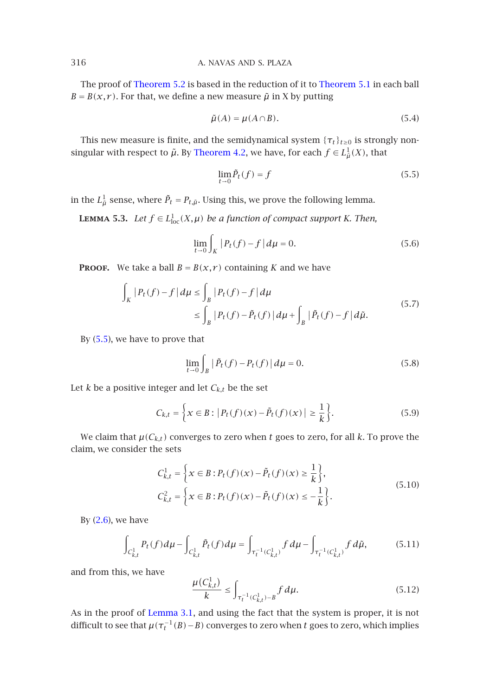The proof of Theorem 5.2 is based in the reduction of it to Theorem 5.1 in each ball  $B = B(x, r)$ . For that, we define a new measure  $\tilde{\mu}$  in X by putting

$$
\tilde{\mu}(A) = \mu(A \cap B). \tag{5.4}
$$

This new measure is finite, and the semidynamical system  $\{\tau_t\}_{t\geq0}$  is strongly nonsingular with respect to  $\tilde{\mu}$ . By Theorem 4.2, we have, for each  $f \in L^1_{\tilde{\mu}}(X)$ , that

$$
\lim_{t \to 0} \tilde{P}_t(f) = f \tag{5.5}
$$

in the  $L^1_{\tilde{\mu}}$  sense, where  $\tilde{P}_t = P_{t,\tilde{\mu}}$ . Using this, we prove the following lemma.

**LEMMA 5.3.** *Let*  $f \in L^1_{loc}(X,\mu)$  *be a function of compact support K. Then,* 

$$
\lim_{t \to 0} \int_{K} |P_t(f) - f| d\mu = 0.
$$
 (5.6)

**PROOF.** We take a ball  $B = B(x, r)$  containing *K* and we have

$$
\int_{K} |P_{t}(f) - f| d\mu \le \int_{B} |P_{t}(f) - f| d\mu
$$
\n
$$
\le \int_{B} |P_{t}(f) - \tilde{P}_{t}(f)| d\mu + \int_{B} |\tilde{P}_{t}(f) - f| d\tilde{\mu}.
$$
\n(5.7)

By  $(5.5)$ , we have to prove that

$$
\lim_{t \to 0} \int_{B} |\tilde{P}_t(f) - P_t(f)| d\mu = 0.
$$
\n(5.8)

Let  $k$  be a positive integer and let  $C_{k,t}$  be the set

$$
C_{k,t} = \left\{ x \in B : |P_t(f)(x) - \tilde{P}_t(f)(x)| \ge \frac{1}{k} \right\}.
$$
 (5.9)

We [clai](#page-3-2)m that  $\mu(C_{k,t})$  converges to zero when t goes to zero, for all k. To prove the claim, we consider the sets

$$
C_{k,t}^1 = \left\{ x \in B : P_t(f)(x) - \tilde{P}_t(f)(x) \ge \frac{1}{k} \right\},\
$$
  
\n
$$
C_{k,t}^2 = \left\{ x \in B : P_t(f)(x) - \tilde{P}_t(f)(x) \le -\frac{1}{k} \right\}.
$$
\n(5.10)

By  $(2.6)$ , we have

$$
\int_{C_{k,t}^1} P_t(f) d\mu - \int_{C_{k,t}^1} \tilde{P}_t(f) d\mu = \int_{\tau_t^{-1}(C_{k,t}^1)} f d\mu - \int_{\tau_t^{-1}(C_{k,t}^1)} f d\tilde{\mu},
$$
\n(5.11)

and from this, we have

$$
\frac{\mu(C_{k,t}^1)}{k} \le \int_{\tau_t^{-1}(C_{k,t}^1) - B} f \, d\mu. \tag{5.12}
$$

As in the proof of Lemma 3.1, and using the fact that the system is proper, it is not difficult to see that  $\mu(\tau_t^{-1}(B)-B)$  converges to zero when *t* goes to zero, which implies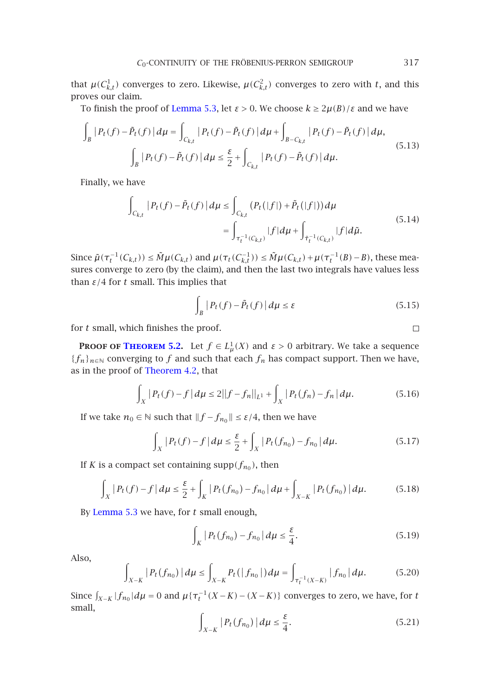that  $\mu(C_{k,t}^1)$  converges to zero. Likewise,  $\mu(C_{k,t}^2)$  converges to zero with *t*, and this proves our claim.

To finish the proof of Lemma 5.3, let *ε >* 0. We choose *k* ≥ 2*µ(B)/ε* and we have

$$
\int_{B} |P_{t}(f) - \tilde{P}_{t}(f)| d\mu = \int_{C_{k,t}} |P_{t}(f) - \tilde{P}_{t}(f)| d\mu + \int_{B - C_{k,t}} |P_{t}(f) - \tilde{P}_{t}(f)| d\mu,
$$
\n
$$
\int_{B} |P_{t}(f) - \tilde{P}_{t}(f)| d\mu \leq \frac{\varepsilon}{2} + \int_{C_{k,t}} |P_{t}(f) - \tilde{P}_{t}(f)| d\mu.
$$
\n(5.13)

Finally, we have

$$
\int_{C_{k,t}} |P_t(f) - \tilde{P}_t(f)| d\mu \le \int_{C_{k,t}} (P_t(|f|) + \tilde{P}_t(|f|)) d\mu
$$
\n
$$
= \int_{\tau_t^{-1}(C_{k,t})} |f| d\mu + \int_{\tilde{\tau}_t^{-1}(C_{k,t})} |f| d\tilde{\mu}.
$$
\n(5.14)

Since  $\tilde{\mu}(\tau_t^{-1}(C_{k,t})) \leq \tilde{M}\mu(C_{k,t})$  and  $\mu(\tau_t(C_{k,t}^{-1})) \leq \tilde{M}\mu(C_{k,t}) + \mu(\tau_t^{-1}(B) - B)$ , these measures conve[rge](#page-8-3) [to](#page-8-3) [zero](#page-8-3) [\(by](#page-8-3) [t](#page-8-3)he claim), and then the last two integrals have values less than  $\varepsilon/4$  for  $t$  sm[all. This impli](#page-7-0)es that

$$
\int_{B} |P_t(f) - \tilde{P}_t(f)| d\mu \le \varepsilon
$$
\n(5.15)

for *t* small, which finishes the proof.

**PROOF OF THEOREM 5.2.** Let  $f \in L^1_\mu(X)$  and  $\varepsilon > 0$  arbitrary. We take a sequence {*f<sub>n</sub>*}<sub>*n*∈N</sub> converging to *f* and such that each  $f_n$  has compact support. Then we have, as in the proof of Theorem 4.2, that

$$
\int_{X} |P_t(f) - f| d\mu \le 2||f - f_n||_{L^1} + \int_{X} |P_t(f_n) - f_n| d\mu.
$$
 (5.16)

If we take *n*<sup>0</sup> ∈  $\&$  such that  $||f - f_{n_0}|| \leq \varepsilon/4$ , then we have

$$
\int_{X} |P_t(f) - f| d\mu \leq \frac{\varepsilon}{2} + \int_{X} |P_t(f_{n_0}) - f_{n_0}| d\mu. \tag{5.17}
$$

If *K* is a compact set containing supp $(f_{n_0})$ , then

$$
\int_{X} |P_t(f) - f| d\mu \leq \frac{\varepsilon}{2} + \int_{K} |P_t(f_{n_0}) - f_{n_0}| d\mu + \int_{X-K} |P_t(f_{n_0})| d\mu. \tag{5.18}
$$

By Lemma 5.3 we have, for *t* small enough,

$$
\int_{K} |P_{t}(f_{n_{0}}) - f_{n_{0}}| d\mu \leq \frac{\varepsilon}{4}.
$$
\n(5.19)

Also,

$$
\int_{X-K} |P_t(f_{n_0})| d\mu \le \int_{X-K} P_t(|f_{n_0}|) d\mu = \int_{\tau_t^{-1}(X-K)} |f_{n_0}| d\mu. \tag{5.20}
$$

Since  $\int_{X-K} |f_{n_0}| d\mu = 0$  and  $\mu \{ \tau_t^{-1}(X-K) - (X-K) \}$  converges to zero, we have, for *t* small,

$$
\int_{X-K} |P_t(f_{n_0})| d\mu \le \frac{\varepsilon}{4}.
$$
\n(5.21)

 $\Box$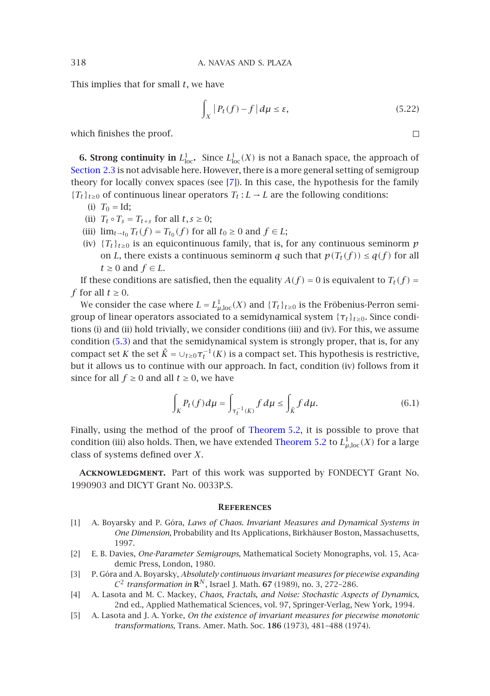[This implies](#page-3-3) that for small *t*, we have

$$
\int_{X} |P_t(f) - f| d\mu \le \varepsilon, \tag{5.22}
$$

 $\Box$ 

which finishes the proof.

**6. Strong continuity in**  $L^1_{loc}$ . Since  $L^1_{loc}(X)$  is not a Banach space, the approach of Section 2.3 is not advisable here. However, there is a more general setting of semigroup theory for locally convex spaces (see [7]). In this case, the hypothesis for the family  ${T_t}_{t\geq0}$  of continuous linear operators  $T_t$  : *L* → *L* are the following conditions:

- (i)  $T_0 = Id;$
- (ii)  $T_t \circ T_s = T_{t+s}$  for all  $t, s \geq 0$ ;
- (iii)  $\lim_{t \to t_0} T_t(f) = T_{t_0}(f)$  for all  $t_0 \ge 0$  and  $f \in L$ ;
- (iv)  ${T_t}_{t\geq0}$  is an equicontinuous family, that is, for any continuous seminorm *p* on *L*[, th](#page-8-2)ere exists a continuous seminorm *q* such that  $p(T_t(f)) \leq q(f)$  for all  $t ≥ 0$  and  $f ∈ L$ .

If these conditions are satisfied, then the equality  $A(f) = 0$  is equivalent to  $T_t(f) = 0$ *f* for all  $t \geq 0$ .

We consider the case where  $L = L^1_{\mu,\text{loc}}(X)$  and  $\{T_t\}_{t\geq 0}$  is the Fröbenius-Perron semigroup of linear operators associated to a semidynamical system  $\{\tau_t\}_{t\geq0}$ . Since conditions (i) and (ii) hold trivially, we consider conditions (iii) and (iv). For this, we assume condition (5.3) and that the semidynamical [system is stro](#page-8-3)ngly proper, that is, for any compact set *K* the set  $\tilde{K} = \cup_{t \geq 0} \tau_t^{-1}(K)$  is a compa[ct set. This hy](#page-8-3)pothesis is restrictive, but it allows us to continue with our approach. In fact, condition (iv) follows from it since for all  $f \ge 0$  and all  $t \ge 0$ , we have

$$
\int_{K} P_t(f) d\mu = \int_{\tau_t^{-1}(K)} f d\mu \le \int_{\tilde{K}} f d\mu. \tag{6.1}
$$

<span id="page-11-5"></span>Finally, using the method of the proof of Theorem 5.2, it is possible to prove that condition (iii) also holds. Then, we have extended Theorem 5.2 to  $L^1_{\mu,\mathrm{loc}}(X)$  for a large class of systems defined over *X*.

<span id="page-11-4"></span><span id="page-11-1"></span>**Acknowledgment.** Part of this work was supported by FONDECYT Grant No. 1990903 and DICYT Grant No. 0033P.S.

## **References**

- <span id="page-11-2"></span><span id="page-11-0"></span>[1] A. Boyarsky and P. Góra, *Laws of Chaos. Invariant Measures and Dynamical Systems in One Dimension*, Probability and Its Applications, Birkhäuser Boston, Massachusetts, 1997.
- [2] E. B. Davies, *One-Parameter Semigroups*, Mathematical Society Monographs, vol. 15, Academic Press, London, 1980.
- [3] P. Góra and A. Boyarsky, *Absolutely continuous invariant measures for piecewise expanding*  $C^2$  *transformation in*  $\mathbb{R}^N$ , Israel J. Math. 67 (1989), no. 3, 272–286.
- [4] A. Lasota and M. C. Mackey, *Chaos, Fractals, and Noise: Stochastic Aspects of Dynamics*, 2nd ed., Applied Mathematical Sciences, vol. 97, Springer-Verlag, New York, 1994.
- [5] A. Lasota and J. A. Yorke, *On the existence of invariant measures for piecewise monotonic transformations*, Trans. Amer. Math. Soc. **186** (1973), 481–488 (1974).

<span id="page-11-3"></span>